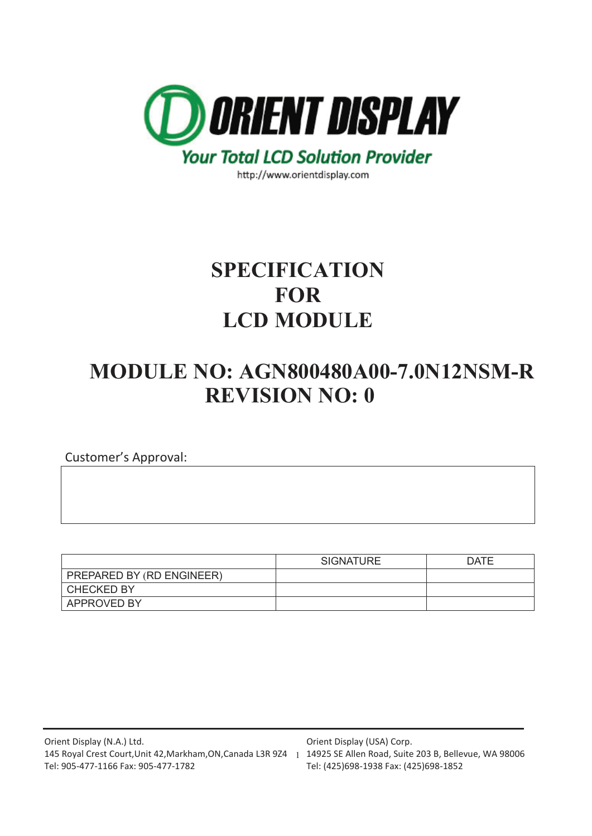

http://www.orientdisplay.com

# **SPECIFICATION FOR LCD MODULE**

# **MODULE NO: AGN800480A00-7.0N12NSM-R REVISION NO: 0**

Customer's Approval:

|                           | <b>SIGNATURE</b> | <b>DATE</b> |
|---------------------------|------------------|-------------|
| PREPARED BY (RD ENGINEER) |                  |             |
| <b>CHECKED BY</b>         |                  |             |
| <b>APPROVED BY</b>        |                  |             |

Orient Display (USA) Corp.

Tel: (425)698-1938 Fax: (425)698-1852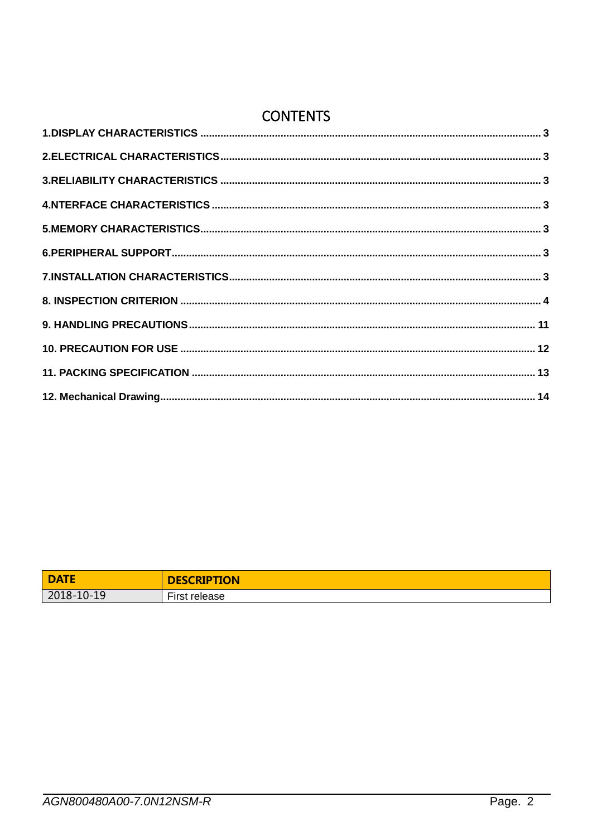# **CONTENTS**

| <b>DATE</b> | <b>DESCRIPTION</b>   |
|-------------|----------------------|
| 2018-10-19  | - -<br>First release |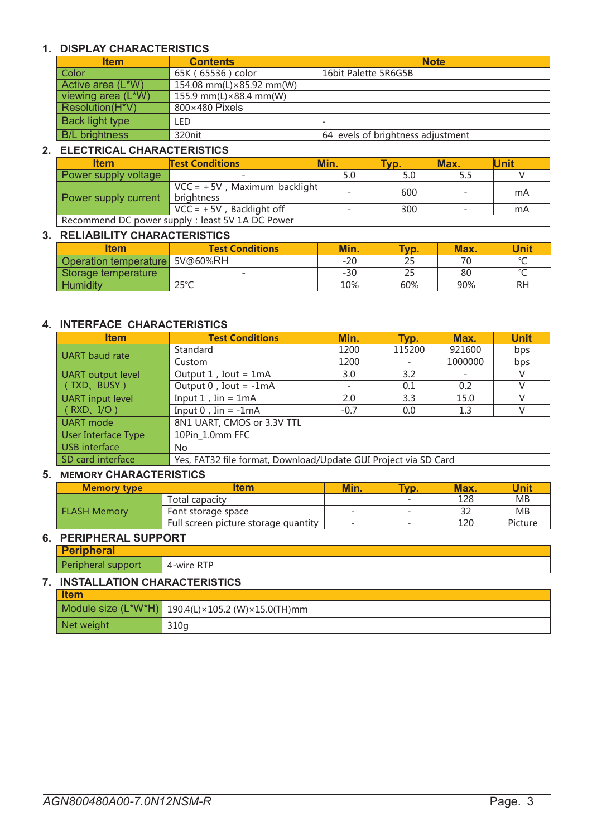### <span id="page-2-0"></span>**1. DISPLAY CHARACTERISTICS**

| <b>Item</b>           | <b>Contents</b>                   | <b>Note</b>                       |
|-----------------------|-----------------------------------|-----------------------------------|
| Color                 | 65K (65536) color                 | 16bit Palette 5R6G5B              |
| Active area (L*W)     | 154.08 mm(L) $\times$ 85.92 mm(W) |                                   |
| viewing area (L*W)    | 155.9 mm(L) $\times$ 88.4 mm(W)   |                                   |
| Resolution(H*V)       | 800×480 Pixels                    |                                   |
| Back light type       | LED                               |                                   |
| <b>B/L brightness</b> | 320nit                            | 64 evels of brightness adjustment |

#### <span id="page-2-1"></span>**2. ELECTRICAL CHARACTERISTICS**

| <b>Item</b>                                      | <b>Test Conditions</b>                        | <b>Min.</b>              | VD. | Max. | <b>Unit</b> |
|--------------------------------------------------|-----------------------------------------------|--------------------------|-----|------|-------------|
| Power supply voltage                             |                                               | 5.0                      |     |      |             |
| Power supply current                             | $VCC = +5V$ , Maximum backlight<br>brightness |                          | 600 |      | mA          |
|                                                  | $VCC = +5V$ , Backlight off                   | $\overline{\phantom{0}}$ | 300 |      | mA          |
| Recommend DC power supply : least 5V 1A DC Power |                                               |                          |     |      |             |

#### <span id="page-2-2"></span>**3. RELIABILITY CHARACTERISTICS**

| ltem                  | <b>Test Conditions</b>   | Min.  | Typ. | Max. | <b>Unit</b> |
|-----------------------|--------------------------|-------|------|------|-------------|
| Operation temperature | 5V@60%RH                 | $-20$ | دے   | 70   | $\sim$      |
| Storage temperature   | $\overline{\phantom{a}}$ | $-30$ | دے   | 80   | $\sim$      |
| <b>Humidity</b>       | つにっへ<br>2J C             | 10%   | 60%  | 90%  | RH          |

#### <span id="page-2-3"></span>**4. INTERFACE CHARACTERISTICS**

| <b>Item</b>         | <b>Test Conditions</b>                                          | Min.   | Typ.   | Max.    | <b>Unit</b> |
|---------------------|-----------------------------------------------------------------|--------|--------|---------|-------------|
| UART baud rate      | Standard                                                        | 1200   | 115200 | 921600  | bps         |
|                     | Custom                                                          | 1200   |        | 1000000 | bps         |
| UART output level   | Output $1$ , Iout = $1mA$                                       | 3.0    | 3.2    |         | V           |
| (TXD、BUSY)          | Output $0$ , Iout = -1mA                                        |        | 0.1    | 0.2     | V           |
| UART input level    | Input $1$ , Iin = $1mA$                                         | 2.0    | 3.3    | 15.0    |             |
| (RXD, I/O)          | Input $0$ , Iin = -1mA                                          | $-0.7$ | 0.0    | 1.3     | V           |
| UART mode           | 8N1 UART, CMOS or 3.3V TTL                                      |        |        |         |             |
| User Interface Type | 10Pin 1.0mm FFC                                                 |        |        |         |             |
| USB interface       | No.                                                             |        |        |         |             |
| SD card interface   | Yes, FAT32 file format, Download/Update GUI Project via SD Card |        |        |         |             |

#### <span id="page-2-4"></span>**5. MEMORY CHARACTERISTICS**

| <b>Memory type</b>  | ltem                                 | Min.                     | Typ. | Max. | Unit    |
|---------------------|--------------------------------------|--------------------------|------|------|---------|
| <b>FLASH Memory</b> | Total capacity                       |                          |      | 128  | MB      |
|                     | Font storage space                   | $\overline{\phantom{a}}$ |      |      | MB      |
|                     | Full screen picture storage quantity | $\overline{\phantom{0}}$ |      | 120  | Picture |

### <span id="page-2-5"></span>**6. PERIPHERAL SUPPORT**

**Peripheral** Peripheral support 4-wire RTP

### <span id="page-2-6"></span>**7. INSTALLATION CHARACTERISTICS**

| <b>Item</b> |                                                           |
|-------------|-----------------------------------------------------------|
|             | Module size $(L^*W^*H)$ 190.4(L) × 105.2 (W) × 15.0(TH)mm |
| Net weight  | 310q                                                      |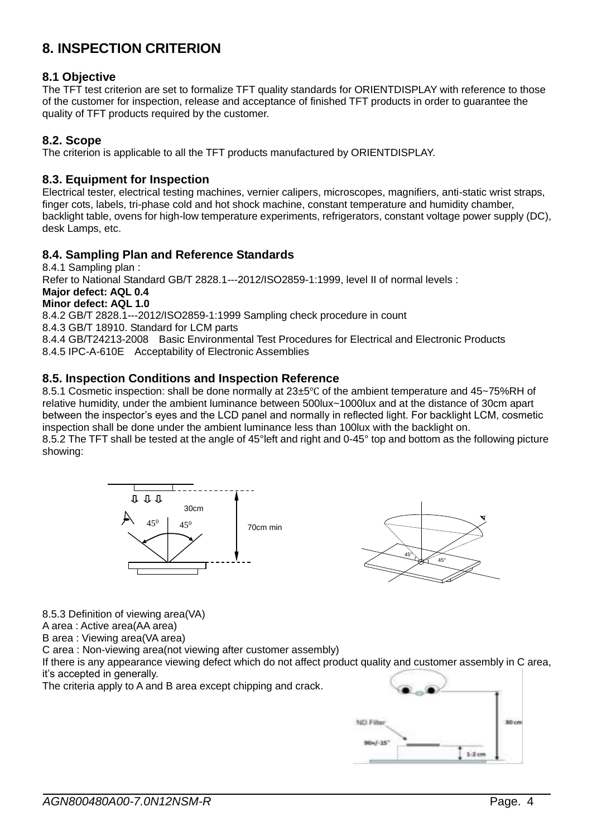## <span id="page-3-0"></span>**8. INSPECTION CRITERION**

### **8.1 Objective**

The TFT test criterion are set to formalize TFT quality standards for ORIENTDISPLAY with reference to those of the customer for inspection, release and acceptance of finished TFT products in order to guarantee the quality of TFT products required by the customer.

### **8.2. Scope**

The criterion is applicable to all the TFT products manufactured by ORIENTDISPLAY.

### **8.3. Equipment for Inspection**

Electrical tester, electrical testing machines, vernier calipers, microscopes, magnifiers, anti-static wrist straps, finger cots, labels, tri-phase cold and hot shock machine, constant temperature and humidity chamber, backlight table, ovens for high-low temperature experiments, refrigerators, constant voltage power supply (DC), desk Lamps, etc.

### **8.4. Sampling Plan and Reference Standards**

8.4.1 Sampling plan : Refer to National Standard GB/T 2828.1---2012/ISO2859-1:1999, level II of normal levels : **Major defect: AQL 0.4**

**Minor defect: AQL 1.0**

8.4.2 GB/T 2828.1---2012/ISO2859-1:1999 Sampling check procedure in count

8.4.3 GB/T 18910. Standard for LCM parts

8.4.4 GB/T24213-2008 Basic Environmental Test Procedures for Electrical and Electronic Products 8.4.5 IPC-A-610E Acceptability of Electronic Assemblies

### **8.5. Inspection Conditions and Inspection Reference**

8.5.1 Cosmetic inspection: shall be done normally at 23±5℃ of the ambient temperature and 45~75%RH of relative humidity, under the ambient luminance between 500lux~1000lux and at the distance of 30cm apart between the inspector's eyes and the LCD panel and normally in reflected light. For backlight LCM, cosmetic inspection shall be done under the ambient luminance less than 100lux with the backlight on. 8.5.2 The TFT shall be tested at the angle of 45°left and right and 0-45° top and bottom as the following picture showing:





8.5.3 Definition of viewing area(VA)

A area : Active area(AA area)

B area : Viewing area(VA area)

C area : Non-viewing area(not viewing after customer assembly)

If there is any appearance viewing defect which do not affect product quality and customer assembly in C area, it's accepted in generally.

The criteria apply to A and B area except chipping and crack.

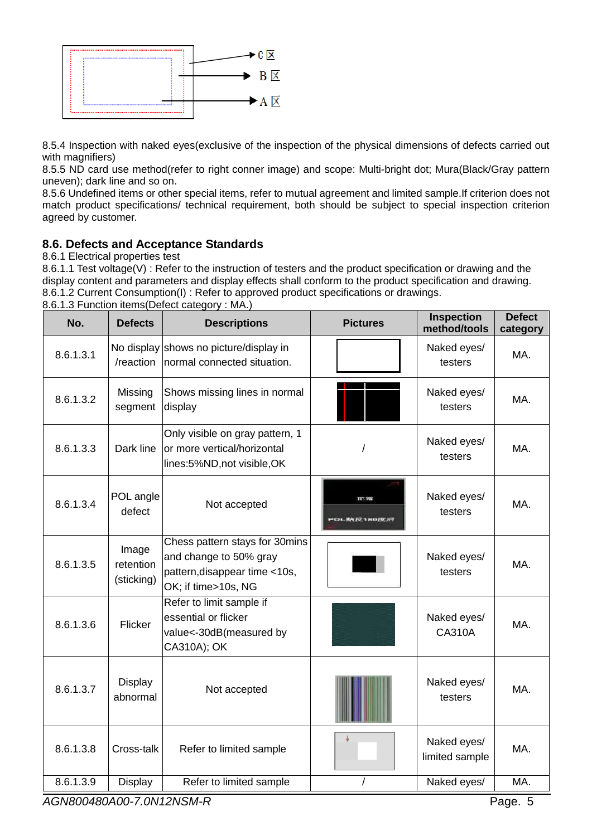

8.5.4 Inspection with naked eyes(exclusive of the inspection of the physical dimensions of defects carried out with magnifiers)

8.5.5 ND card use method(refer to right conner image) and scope: Multi-bright dot; Mura(Black/Gray pattern uneven); dark line and so on.

8.5.6 Undefined items or other special items, refer to mutual agreement and limited sample.If criterion does not match product specifications/ technical requirement, both should be subject to special inspection criterion agreed by customer.

### **8.6. Defects and Acceptance Standards**

8.6.1 Electrical properties test

8.6.1.1 Test voltage(V) : Refer to the instruction of testers and the product specification or drawing and the display content and parameters and display effects shall conform to the product specification and drawing. 8.6.1.2 Current Consumption(I) : Refer to approved product specifications or drawings.

| No.       | <b>Defects</b>                   | <b>Descriptions</b>                                                                                              | <b>Pictures</b>                 | <b>Inspection</b><br>method/tools | <b>Defect</b><br>category |
|-----------|----------------------------------|------------------------------------------------------------------------------------------------------------------|---------------------------------|-----------------------------------|---------------------------|
| 8.6.1.3.1 | /reaction                        | No display shows no picture/display in<br>normal connected situation.                                            |                                 | Naked eyes/<br>testers            | MA.                       |
| 8.6.1.3.2 | Missing<br>segment               | Shows missing lines in normal<br>display                                                                         |                                 | Naked eyes/<br>testers            | MA.                       |
| 8.6.1.3.3 | Dark line                        | Only visible on gray pattern, 1<br>or more vertical/horizontal<br>lines:5%ND, not visible, OK                    |                                 | Naked eyes/<br>testers            | MA.                       |
| 8.6.1.3.4 | POL angle<br>defect              | Not accepted                                                                                                     | TT: 982<br>C)L, 财光 IQ 1 米口儿包 IF | Naked eyes/<br>testers            | MA.                       |
| 8.6.1.3.5 | Image<br>retention<br>(sticking) | Chess pattern stays for 30mins<br>and change to 50% gray<br>pattern, disappear time <10s,<br>OK; if time>10s, NG |                                 | Naked eyes/<br>testers            | MA.                       |
| 8.6.1.3.6 | Flicker                          | Refer to limit sample if<br>essential or flicker<br>value<-30dB(measured by<br>CA310A); OK                       |                                 | Naked eyes/<br><b>CA310A</b>      | MA.                       |
| 8.6.1.3.7 | <b>Display</b><br>abnormal       | Not accepted                                                                                                     |                                 | Naked eyes/<br>testers            | MA.                       |
| 8.6.1.3.8 | Cross-talk                       | Refer to limited sample                                                                                          |                                 | Naked eyes/<br>limited sample     | MA.                       |
| 8.6.1.3.9 | <b>Display</b>                   | Refer to limited sample                                                                                          |                                 | Naked eyes/                       | MA.                       |

8.6.1.3 Function items(Defect category : MA.)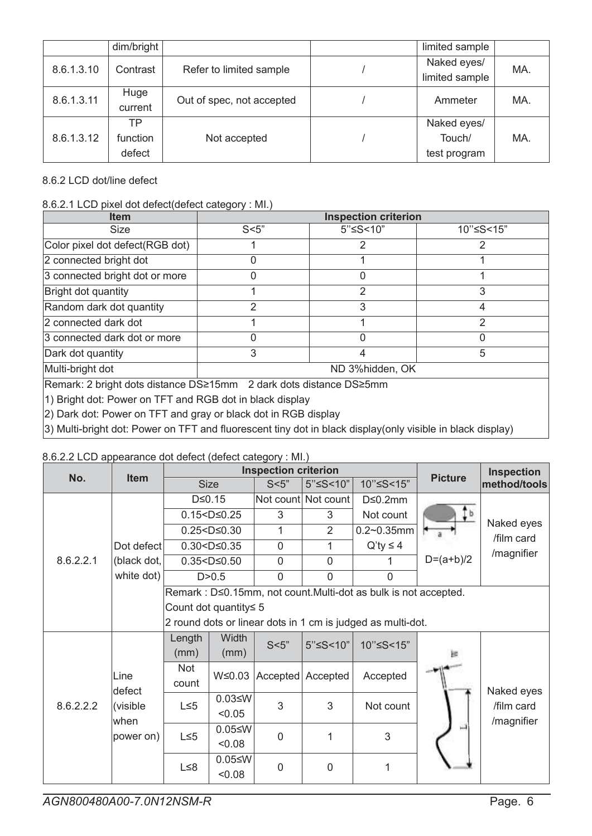|            | dim/bright |                           | limited sample |     |
|------------|------------|---------------------------|----------------|-----|
| 8.6.1.3.10 | Contrast   | Refer to limited sample   | Naked eyes/    | MA. |
|            |            |                           | limited sample |     |
| 8.6.1.3.11 | Huge       | Out of spec, not accepted | Ammeter        | MA. |
|            | current    |                           |                |     |
|            | ТP         |                           | Naked eyes/    |     |
| 8.6.1.3.12 | function   | Not accepted              | Touch/         | MA. |
|            | defect     |                           | test program   |     |

### 8.6.2 LCD dot/line defect

### 8.6.2.1 LCD pixel dot defect(defect category : MI.)

| <b>Item</b>                                                           | <b>Inspection criterion</b> |          |           |  |  |
|-----------------------------------------------------------------------|-----------------------------|----------|-----------|--|--|
| <b>Size</b>                                                           | S<5"                        | 5"≤S<10" | 10"≤S<15" |  |  |
| Color pixel dot defect (RGB dot)                                      |                             |          |           |  |  |
| 2 connected bright dot                                                |                             |          |           |  |  |
| 3 connected bright dot or more                                        |                             |          |           |  |  |
| Bright dot quantity                                                   |                             |          |           |  |  |
| Random dark dot quantity                                              |                             |          |           |  |  |
| 2 connected dark dot                                                  |                             |          | っ         |  |  |
| 3 connected dark dot or more                                          |                             |          |           |  |  |
| Dark dot quantity                                                     | 3                           |          | 5         |  |  |
| Multi-bright dot                                                      | ND 3%hidden, OK             |          |           |  |  |
| IRemark: 2 bright dots distance DS>15mm - 2 dark dots distance DS>5mm |                             |          |           |  |  |

emark: 2 bright dots distance DS≥15mm 2 dark dots distance DS≥5mm

1) Bright dot: Power on TFT and RGB dot in black display

2) Dark dot: Power on TFT and gray or black dot in RGB display

3) Multi-bright dot: Power on TFT and fluorescent tiny dot in black display(only visible in black display)

### 8.6.2.2 LCD appearance dot defect (defect category : MI.)

| No.       | <b>Item</b> |                       |                     | <b>Inspection criterion</b> |                       |                                                                 | <b>Picture</b> | <b>Inspection</b> |  |
|-----------|-------------|-----------------------|---------------------|-----------------------------|-----------------------|-----------------------------------------------------------------|----------------|-------------------|--|
|           |             |                       | <b>Size</b>         | S<5"                        | 5"≤S<10"              | 10"≤S<15"                                                       |                | method/tools      |  |
|           |             |                       | $D \le 0.15$        |                             | Not count Not count   | $D \leq 0.2$ mm                                                 |                |                   |  |
|           |             |                       | $0.15 < D \le 0.25$ |                             | 3                     | Not count                                                       | Ţb             | Naked eyes        |  |
|           |             |                       | $0.25 < D \le 0.30$ |                             | $\overline{2}$        | $0.2 - 0.35$ mm                                                 |                |                   |  |
|           | Dot defect  |                       | $0.30 < D \le 0.35$ | 0                           | 1                     | $Q'$ ty $\leq 4$                                                |                | /film card        |  |
| 8.6.2.2.1 | (black dot, |                       | $0.35 < D \le 0.50$ | 0                           | $\overline{0}$        |                                                                 | $D=(a+b)/2$    | /magnifier        |  |
|           | white dot)  |                       | D > 0.5             | $\overline{0}$              | $\overline{0}$        | $\overline{0}$                                                  |                |                   |  |
|           |             |                       |                     |                             |                       | Remark : D≤0.15mm, not count.Multi-dot as bulk is not accepted. |                |                   |  |
|           |             | Count dot quantity≤ 5 |                     |                             |                       |                                                                 |                |                   |  |
|           |             |                       |                     |                             |                       | 2 round dots or linear dots in 1 cm is judged as multi-dot.     |                |                   |  |
|           |             | Length                | Width               | S<5"                        |                       |                                                                 |                |                   |  |
|           |             | (mm)                  | (mm)                |                             | 5"≤S<10"<br>10"≤S<15" |                                                                 |                |                   |  |
|           | Line        | Not                   | $W \le 0.03$        |                             | Accepted Accepted     |                                                                 |                |                   |  |
|           | defect      | count                 |                     |                             |                       | Accepted                                                        |                | Naked eyes        |  |
| 8.6.2.2.2 | (visible    | $L \leq 5$            | $0.03 \le W$        | 3                           | 3                     | Not count                                                       |                | /film card        |  |
|           | when        |                       | < 0.05              |                             |                       |                                                                 |                | /magnifier        |  |
|           | power on)   | $L \leq 5$            | $0.05 \leq W$       | $\overline{0}$              | 1                     | 3                                                               | أأسبا          |                   |  |
|           |             |                       | 0.08                |                             |                       |                                                                 |                |                   |  |
|           |             | $L \leq 8$            | $0.05 \leq W$       | $\overline{0}$              | $\overline{0}$        | 1                                                               |                |                   |  |
|           |             |                       | 0.08                |                             |                       |                                                                 |                |                   |  |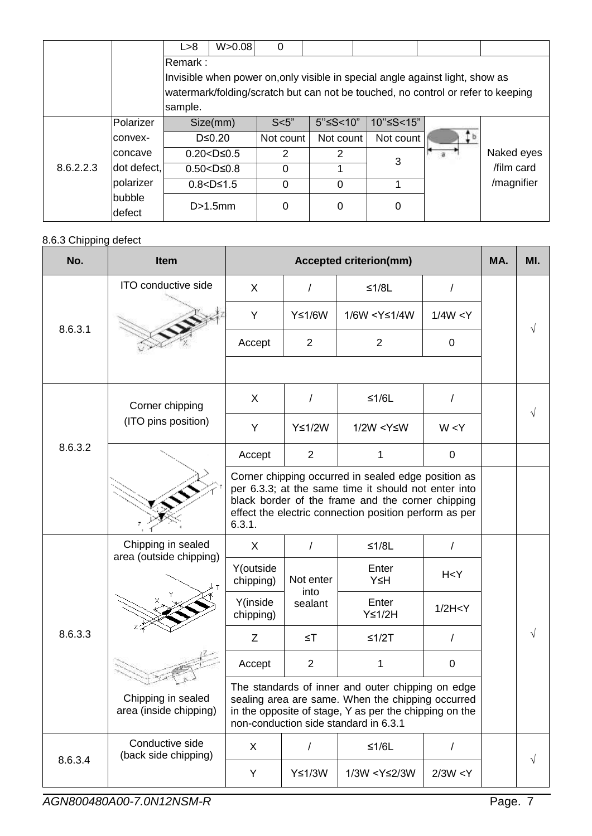|           |                  | L > 8     | W > 0.08                                                                         | 0         |                           |                                                                               |  |            |  |
|-----------|------------------|-----------|----------------------------------------------------------------------------------|-----------|---------------------------|-------------------------------------------------------------------------------|--|------------|--|
|           |                  | lRemark : |                                                                                  |           |                           |                                                                               |  |            |  |
|           |                  |           |                                                                                  |           |                           | Invisible when power on, only visible in special angle against light, show as |  |            |  |
|           |                  |           | watermark/folding/scratch but can not be touched, no control or refer to keeping |           |                           |                                                                               |  |            |  |
|           |                  | sample.   |                                                                                  |           |                           |                                                                               |  |            |  |
|           | Polarizer        |           | Size(mm)                                                                         | S<5"      | $5"$ $\leq$ $5$ $<$ $10"$ | 10"≤S<15"                                                                     |  |            |  |
|           | Iconvex-         |           | $D \leq 0.20$                                                                    | Not count | Not count                 | Not count                                                                     |  |            |  |
|           | lconcave         |           | $0.20 < D \leq 0.5$                                                              | 2         | 2                         | 3                                                                             |  | Naked eyes |  |
| 8.6.2.2.3 | dot defect,      |           | $0.50 < D \le 0.8$                                                               | $\Omega$  |                           |                                                                               |  | /film card |  |
|           | polarizer        |           | $0.8 < D \le 1.5$                                                                | $\Omega$  | $\Omega$                  |                                                                               |  | /magnifier |  |
|           | bubble<br>defect |           | D>1.5mm                                                                          | 0         | 0                         | 0                                                                             |  |            |  |

### 8.6.3 Chipping defect

| No.     | <b>Item</b>                                   |                                                                                                                                                                                                                                      |                                                                                                                                                                                                           | <b>Accepted criterion(mm)</b>                                        |             | MA. | MI. |
|---------|-----------------------------------------------|--------------------------------------------------------------------------------------------------------------------------------------------------------------------------------------------------------------------------------------|-----------------------------------------------------------------------------------------------------------------------------------------------------------------------------------------------------------|----------------------------------------------------------------------|-------------|-----|-----|
|         | ITO conductive side                           | $\mathsf{X}$                                                                                                                                                                                                                         | $\prime$                                                                                                                                                                                                  | $≤1/8L$                                                              | T           |     |     |
|         |                                               | Y                                                                                                                                                                                                                                    | Y≤1/6W                                                                                                                                                                                                    | 1/6W <y≤1 4w<="" td=""><td>1/4W &lt; Y</td><td></td><td></td></y≤1>  | 1/4W < Y    |     |     |
| 8.6.3.1 |                                               | Accept                                                                                                                                                                                                                               | $\overline{2}$                                                                                                                                                                                            | 2                                                                    | $\pmb{0}$   |     |     |
|         |                                               |                                                                                                                                                                                                                                      |                                                                                                                                                                                                           |                                                                      |             |     |     |
|         | Corner chipping                               | X                                                                                                                                                                                                                                    |                                                                                                                                                                                                           | $≤1/6L$                                                              | Ι           |     |     |
| 8.6.3.2 | (ITO pins position)                           | Y                                                                                                                                                                                                                                    | Y≤1/2W                                                                                                                                                                                                    | $1/2W < Y \leq W$                                                    | W < Y       |     |     |
|         |                                               | Accept                                                                                                                                                                                                                               | $\overline{2}$                                                                                                                                                                                            | 1                                                                    | $\pmb{0}$   |     |     |
|         |                                               | Corner chipping occurred in sealed edge position as<br>per 6.3.3; at the same time it should not enter into<br>black border of the frame and the corner chipping<br>effect the electric connection position perform as per<br>6.3.1. |                                                                                                                                                                                                           |                                                                      |             |     |     |
|         | Chipping in sealed<br>area (outside chipping) | X                                                                                                                                                                                                                                    | $\prime$                                                                                                                                                                                                  | $≤1/8L$                                                              |             |     |     |
|         |                                               | Y(outside<br>chipping)                                                                                                                                                                                                               | Not enter<br>into                                                                                                                                                                                         | Enter<br>Y≤H                                                         | H < Y       |     |     |
|         |                                               | Y(inside<br>chipping)                                                                                                                                                                                                                | sealant                                                                                                                                                                                                   | Enter<br>$Y \leq 1/2H$                                               | 1/2H < Y    |     |     |
| 8.6.3.3 |                                               | Z                                                                                                                                                                                                                                    | $\leq$ T                                                                                                                                                                                                  | $≤1/2T$                                                              | $\prime$    |     |     |
|         |                                               | Accept                                                                                                                                                                                                                               | $\overline{2}$                                                                                                                                                                                            | 1                                                                    | $\mathbf 0$ |     |     |
|         | Chipping in sealed<br>area (inside chipping)  |                                                                                                                                                                                                                                      | The standards of inner and outer chipping on edge<br>sealing area are same. When the chipping occurred<br>in the opposite of stage, Y as per the chipping on the<br>non-conduction side standard in 6.3.1 |                                                                      |             |     |     |
|         | Conductive side<br>(back side chipping)       | X                                                                                                                                                                                                                                    | $\sqrt{2}$                                                                                                                                                                                                | $≤1/6L$                                                              | /           |     |     |
| 8.6.3.4 |                                               | Y                                                                                                                                                                                                                                    | Y≤1/3W                                                                                                                                                                                                    | 1/3W <y≤2 3w<="" td=""><td>2/3W &lt; Y</td><td></td><td>V</td></y≤2> | 2/3W < Y    |     | V   |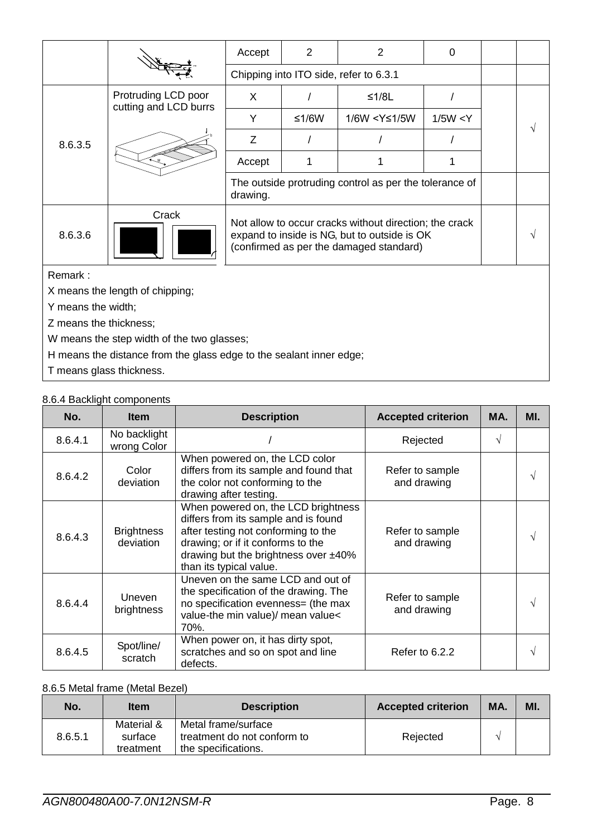|         |                                                                     | Accept                                                             | $\overline{2}$                                                                                                                                    | 2             | $\mathbf 0$ |  |  |  |
|---------|---------------------------------------------------------------------|--------------------------------------------------------------------|---------------------------------------------------------------------------------------------------------------------------------------------------|---------------|-------------|--|--|--|
|         |                                                                     |                                                                    | Chipping into ITO side, refer to 6.3.1                                                                                                            |               |             |  |  |  |
|         | Protruding LCD poor<br>cutting and LCD burrs                        | X.                                                                 |                                                                                                                                                   | $≤1/8L$       |             |  |  |  |
|         |                                                                     | Y                                                                  | $≤1/6W$                                                                                                                                           | 1/6W < Y≤1/5W | 1/5W < Y    |  |  |  |
| 8.6.3.5 |                                                                     | Z                                                                  |                                                                                                                                                   |               |             |  |  |  |
|         |                                                                     | Accept                                                             | 1                                                                                                                                                 | 1             |             |  |  |  |
|         |                                                                     | The outside protruding control as per the tolerance of<br>drawing. |                                                                                                                                                   |               |             |  |  |  |
| 8.6.3.6 | Crack                                                               |                                                                    | Not allow to occur cracks without direction; the crack<br>expand to inside is NG, but to outside is OK<br>(confirmed as per the damaged standard) |               |             |  |  |  |
| Remark: |                                                                     |                                                                    |                                                                                                                                                   |               |             |  |  |  |
|         | X means the length of chipping;                                     |                                                                    |                                                                                                                                                   |               |             |  |  |  |
|         | Y means the width;                                                  |                                                                    |                                                                                                                                                   |               |             |  |  |  |
|         | Z means the thickness;                                              |                                                                    |                                                                                                                                                   |               |             |  |  |  |
|         | W means the step width of the two glasses;                          |                                                                    |                                                                                                                                                   |               |             |  |  |  |
|         | H means the distance from the glass edge to the sealant inner edge; |                                                                    |                                                                                                                                                   |               |             |  |  |  |

T means glass thickness.

### 8.6.4 Backlight components

| No.     | <b>Item</b>                    | <b>Description</b>                                                                                                                                                                                                            | <b>Accepted criterion</b>      | MA. | MI. |
|---------|--------------------------------|-------------------------------------------------------------------------------------------------------------------------------------------------------------------------------------------------------------------------------|--------------------------------|-----|-----|
| 8.6.4.1 | No backlight<br>wrong Color    |                                                                                                                                                                                                                               | Rejected                       | V   |     |
| 8.6.4.2 | Color<br>deviation             | When powered on, the LCD color<br>differs from its sample and found that<br>the color not conforming to the<br>drawing after testing.                                                                                         | Refer to sample<br>and drawing |     | V   |
| 8.6.4.3 | <b>Brightness</b><br>deviation | When powered on, the LCD brightness<br>differs from its sample and is found<br>after testing not conforming to the<br>drawing; or if it conforms to the<br>drawing but the brightness over $±40\%$<br>than its typical value. | Refer to sample<br>and drawing |     | V   |
| 8.6.4.4 | Uneven<br>brightness           | Uneven on the same LCD and out of<br>the specification of the drawing. The<br>no specification evenness= (the max<br>value-the min value)/ mean value<<br>70%.                                                                | Refer to sample<br>and drawing |     | V   |
| 8.6.4.5 | Spot/line/<br>scratch          | When power on, it has dirty spot,<br>scratches and so on spot and line<br>defects.                                                                                                                                            | Refer to 6.2.2                 |     | V   |

### 8.6.5 Metal frame (Metal Bezel)

| No.     | <b>Item</b>                        | <b>Description</b>                                                        | <b>Accepted criterion</b> | MA. | MI. |
|---------|------------------------------------|---------------------------------------------------------------------------|---------------------------|-----|-----|
| 8.6.5.1 | Material &<br>surface<br>treatment | Metal frame/surface<br>treatment do not conform to<br>the specifications. | Rejected                  |     |     |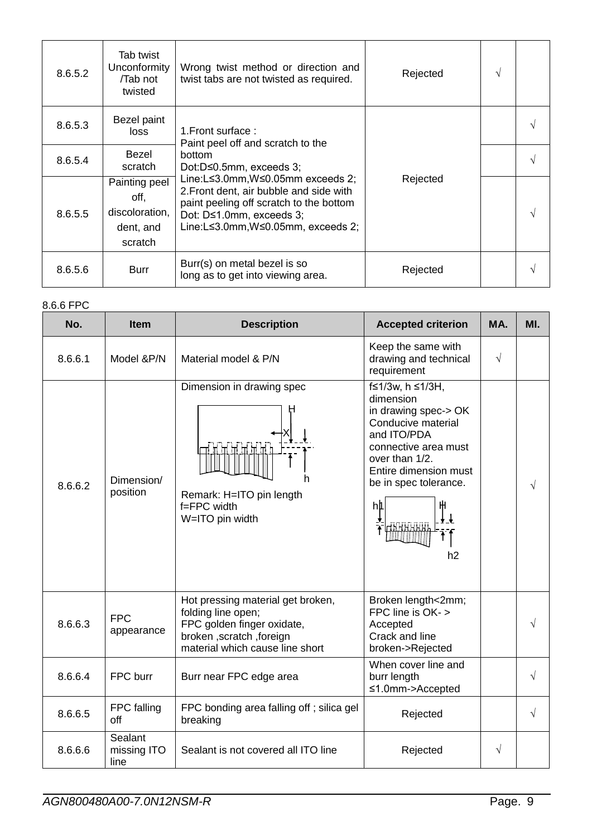| 8.6.5.2 | Tab twist<br>Unconformity<br>/Tab not<br>twisted                | Wrong twist method or direction and<br>twist tabs are not twisted as required.                                                                                                          | Rejected |  |
|---------|-----------------------------------------------------------------|-----------------------------------------------------------------------------------------------------------------------------------------------------------------------------------------|----------|--|
| 8.6.5.3 | Bezel paint<br>loss                                             | 1. Front surface:<br>Paint peel off and scratch to the<br><b>bottom</b><br>Dot:D≤0.5mm, exceeds 3;                                                                                      |          |  |
| 8.6.5.4 | Bezel<br>scratch                                                |                                                                                                                                                                                         |          |  |
| 8.6.5.5 | Painting peel<br>off,<br>discoloration,<br>dent, and<br>scratch | Line:L≤3.0mm,W≤0.05mm exceeds 2;<br>2. Front dent, air bubble and side with<br>paint peeling off scratch to the bottom<br>Dot: D≤1.0mm, exceeds 3;<br>Line:L≤3.0mm,W≤0.05mm, exceeds 2; | Rejected |  |
| 8.6.5.6 | <b>Burr</b>                                                     | Burr(s) on metal bezel is so<br>long as to get into viewing area.                                                                                                                       | Rejected |  |

### 8.6.6 FPC

| No.     | <b>Item</b>                    | <b>Description</b>                                                                                                                                   | <b>Accepted criterion</b>                                                                                                                                                                               | MA.       | MI.       |
|---------|--------------------------------|------------------------------------------------------------------------------------------------------------------------------------------------------|---------------------------------------------------------------------------------------------------------------------------------------------------------------------------------------------------------|-----------|-----------|
| 8.6.6.1 | Model &P/N                     | Material model & P/N                                                                                                                                 | Keep the same with<br>drawing and technical<br>requirement                                                                                                                                              | $\sqrt{}$ |           |
| 8.6.6.2 | Dimension/<br>position         | Dimension in drawing spec<br>TE TE 91.<br>Remark: H=ITO pin length<br>$f = FPC$ width<br>W=ITO pin width                                             | f≤1/3w, h ≤1/3H,<br>dimension<br>in drawing spec-> OK<br>Conducive material<br>and ITO/PDA<br>connective area must<br>over than 1/2.<br>Entire dimension must<br>be in spec tolerance.<br>hþ<br>ж<br>h2 |           | $\sqrt{}$ |
| 8.6.6.3 | <b>FPC</b><br>appearance       | Hot pressing material get broken,<br>folding line open;<br>FPC golden finger oxidate,<br>broken, scratch, foreign<br>material which cause line short | Broken length<2mm;<br>FPC line is OK- ><br>Accepted<br>Crack and line<br>broken->Rejected                                                                                                               |           | V         |
| 8.6.6.4 | FPC burr                       | Burr near FPC edge area                                                                                                                              | When cover line and<br>burr length<br>≤1.0mm->Accepted                                                                                                                                                  |           | $\sqrt{}$ |
| 8.6.6.5 | FPC falling<br>off             | FPC bonding area falling off; silica gel<br>breaking                                                                                                 | Rejected                                                                                                                                                                                                |           | $\sqrt{}$ |
| 8.6.6.6 | Sealant<br>missing ITO<br>line | Sealant is not covered all ITO line                                                                                                                  | Rejected                                                                                                                                                                                                | √         |           |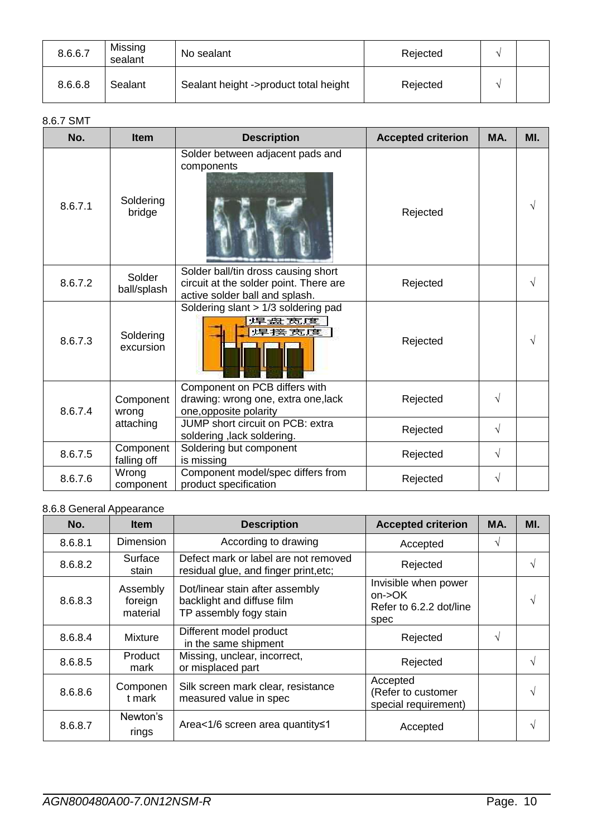| 8.6.6.7 | Missing<br>sealant | No sealant                            | Rejected |  |
|---------|--------------------|---------------------------------------|----------|--|
| 8.6.6.8 | Sealant            | Sealant height ->product total height | Rejected |  |

### 8.6.7 SMT

| No.     | <b>Item</b>              | <b>Description</b>                                                                                              | <b>Accepted criterion</b> | MA.       | MI. |
|---------|--------------------------|-----------------------------------------------------------------------------------------------------------------|---------------------------|-----------|-----|
| 8.6.7.1 | Soldering<br>bridge      | Solder between adjacent pads and<br>components                                                                  | Rejected                  |           | V   |
| 8.6.7.2 | Solder<br>ball/splash    | Solder ball/tin dross causing short<br>circuit at the solder point. There are<br>active solder ball and splash. | Rejected                  |           | V   |
| 8.6.7.3 | Soldering<br>excursion   | Soldering slant > 1/3 soldering pad<br>焊盘 宽度<br>焊接宽度                                                            | Rejected                  |           | V   |
| 8.6.7.4 | Component<br>wrong       | Component on PCB differs with<br>drawing: wrong one, extra one, lack<br>one, opposite polarity                  | Rejected                  | $\sqrt{}$ |     |
|         | attaching                | JUMP short circuit on PCB: extra<br>soldering, lack soldering.                                                  | Rejected                  | $\sqrt{}$ |     |
| 8.6.7.5 | Component<br>falling off | Soldering but component<br>is missing                                                                           | Rejected                  | $\sqrt{}$ |     |
| 8.6.7.6 | Wrong<br>component       | Component model/spec differs from<br>product specification                                                      | Rejected                  | $\sqrt{}$ |     |

### 8.6.8 General Appearance

| No.     | <b>Item</b>                     | <b>Description</b>                                                                      | <b>Accepted criterion</b>                                         | MA. | MI. |
|---------|---------------------------------|-----------------------------------------------------------------------------------------|-------------------------------------------------------------------|-----|-----|
| 8.6.8.1 | <b>Dimension</b>                | According to drawing                                                                    | Accepted                                                          |     |     |
| 8.6.8.2 | Surface<br>stain                | Defect mark or label are not removed<br>residual glue, and finger print, etc;           | Rejected                                                          |     |     |
| 8.6.8.3 | Assembly<br>foreign<br>material | Dot/linear stain after assembly<br>backlight and diffuse film<br>TP assembly fogy stain | Invisible when power<br>on->OK<br>Refer to 6.2.2 dot/line<br>spec |     |     |
| 8.6.8.4 | <b>Mixture</b>                  | Different model product<br>in the same shipment                                         | Rejected                                                          |     |     |
| 8.6.8.5 | Product<br>mark                 | Missing, unclear, incorrect,<br>or misplaced part                                       | Rejected                                                          |     |     |
| 8.6.8.6 | Componen<br>t mark              | Silk screen mark clear, resistance<br>measured value in spec                            | Accepted<br>(Refer to customer<br>special requirement)            |     |     |
| 8.6.8.7 | Newton's<br>rings               | Area<1/6 screen area quantity≤1                                                         | Accepted                                                          |     |     |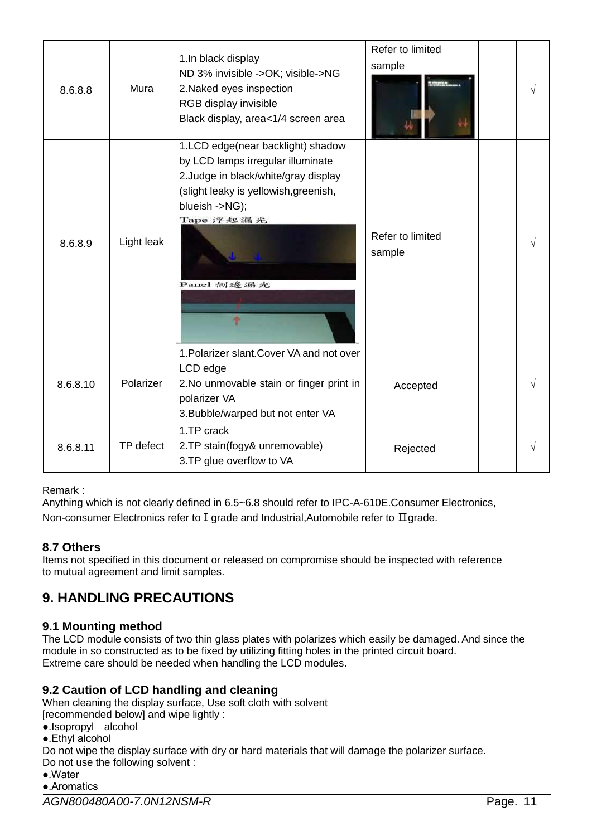| 8.6.8.8  | Mura       | 1.In black display<br>ND 3% invisible ->OK; visible->NG<br>2. Naked eyes inspection<br>RGB display invisible<br>Black display, area<1/4 screen area                                                  | Refer to limited<br>sample |  |
|----------|------------|------------------------------------------------------------------------------------------------------------------------------------------------------------------------------------------------------|----------------------------|--|
| 8.6.8.9  | Light leak | 1.LCD edge(near backlight) shadow<br>by LCD lamps irregular illuminate<br>2. Judge in black/white/gray display<br>(slight leaky is yellowish, greenish,<br>blueish ->NG);<br>Tape 浮起漏光<br>Panel 側邊編光 | Refer to limited<br>sample |  |
| 8.6.8.10 | Polarizer  | 1. Polarizer slant. Cover VA and not over<br>LCD edge<br>2. No unmovable stain or finger print in<br>polarizer VA<br>3. Bubble/warped but not enter VA                                               | Accepted                   |  |
| 8.6.8.11 | TP defect  | 1.TP crack<br>2.TP stain(fogy& unremovable)<br>3. TP glue overflow to VA                                                                                                                             | Rejected                   |  |

Remark :

Anything which is not clearly defined in 6.5~6.8 should refer to IPC-A-610E.Consumer Electronics, Non-consumer Electronics refer to I grade and Industrial,Automobile refer to Ⅱgrade.

### **8.7 Others**

Items not specified in this document or released on compromise should be inspected with reference to mutual agreement and limit samples.

### <span id="page-10-0"></span>**9. HANDLING PRECAUTIONS**

### **9.1 Mounting method**

The LCD module consists of two thin glass plates with polarizes which easily be damaged. And since the module in so constructed as to be fixed by utilizing fitting holes in the printed circuit board. Extreme care should be needed when handling the LCD modules.

### **9.2 Caution of LCD handling and cleaning**

When cleaning the display surface, Use soft cloth with solvent

- [recommended below] and wipe lightly :
- ●.Isopropyl alcohol
- ●.Ethyl alcohol

Do not wipe the display surface with dry or hard materials that will damage the polarizer surface. Do not use the following solvent :

●.Water

●.Aromatics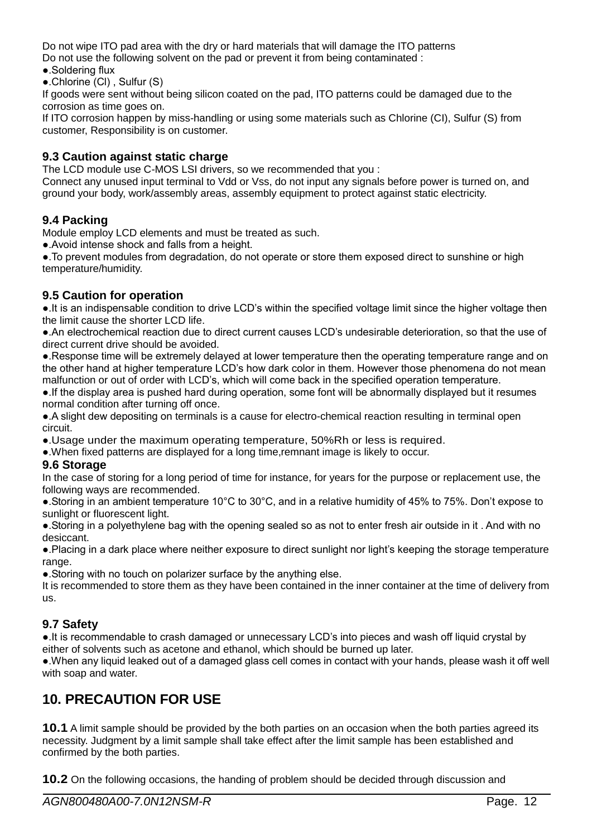Do not wipe ITO pad area with the dry or hard materials that will damage the ITO patterns Do not use the following solvent on the pad or prevent it from being contaminated :

- ●.Soldering flux
- ●.Chlorine (Cl) , Sulfur (S)

If goods were sent without being silicon coated on the pad, ITO patterns could be damaged due to the corrosion as time goes on.

If ITO corrosion happen by miss-handling or using some materials such as Chlorine (CI), Sulfur (S) from customer, Responsibility is on customer.

### **9.3 Caution against static charge**

The LCD module use C-MOS LSI drivers, so we recommended that you :

Connect any unused input terminal to Vdd or Vss, do not input any signals before power is turned on, and ground your body, work/assembly areas, assembly equipment to protect against static electricity.

### **9.4 Packing**

Module employ LCD elements and must be treated as such.

●.Avoid intense shock and falls from a height.

●.To prevent modules from degradation, do not operate or store them exposed direct to sunshine or high temperature/humidity.

### **9.5 Caution for operation**

●.It is an indispensable condition to drive LCD's within the specified voltage limit since the higher voltage then the limit cause the shorter LCD life.

●.An electrochemical reaction due to direct current causes LCD's undesirable deterioration, so that the use of direct current drive should be avoided.

●.Response time will be extremely delayed at lower temperature then the operating temperature range and on the other hand at higher temperature LCD's how dark color in them. However those phenomena do not mean malfunction or out of order with LCD's, which will come back in the specified operation temperature.

●.If the display area is pushed hard during operation, some font will be abnormally displayed but it resumes normal condition after turning off once.

●.A slight dew depositing on terminals is a cause for electro-chemical reaction resulting in terminal open circuit.

●.Usage under the maximum operating temperature, 50%Rh or less is required.

●.When fixed patterns are displayed for a long time,remnant image is likely to occur.

#### **9.6 Storage**

In the case of storing for a long period of time for instance, for years for the purpose or replacement use, the following ways are recommended.

●.Storing in an ambient temperature 10°C to 30°C, and in a relative humidity of 45% to 75%. Don't expose to sunlight or fluorescent light.

●.Storing in a polyethylene bag with the opening sealed so as not to enter fresh air outside in it . And with no desiccant.

●.Placing in a dark place where neither exposure to direct sunlight nor light's keeping the storage temperature range.

●.Storing with no touch on polarizer surface by the anything else.

It is recommended to store them as they have been contained in the inner container at the time of delivery from us.

### **9.7 Safety**

●.It is recommendable to crash damaged or unnecessary LCD's into pieces and wash off liquid crystal by either of solvents such as acetone and ethanol, which should be burned up later.

●.When any liquid leaked out of a damaged glass cell comes in contact with your hands, please wash it off well with soap and water.

### <span id="page-11-0"></span>**10. PRECAUTION FOR USE**

**10.1** A limit sample should be provided by the both parties on an occasion when the both parties agreed its necessity. Judgment by a limit sample shall take effect after the limit sample has been established and confirmed by the both parties.

**10.2** On the following occasions, the handing of problem should be decided through discussion and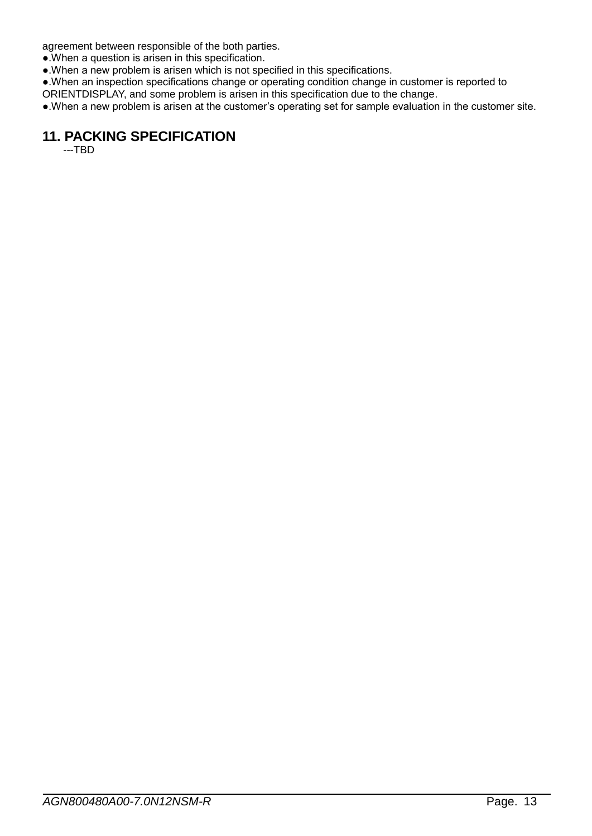agreement between responsible of the both parties.

●.When a question is arisen in this specification.

●.When a new problem is arisen which is not specified in this specifications.

●.When an inspection specifications change or operating condition change in customer is reported to

ORIENTDISPLAY, and some problem is arisen in this specification due to the change.

<span id="page-12-0"></span>●.When a new problem is arisen at the customer's operating set for sample evaluation in the customer site.

## **11. PACKING SPECIFICATION**

---TBD